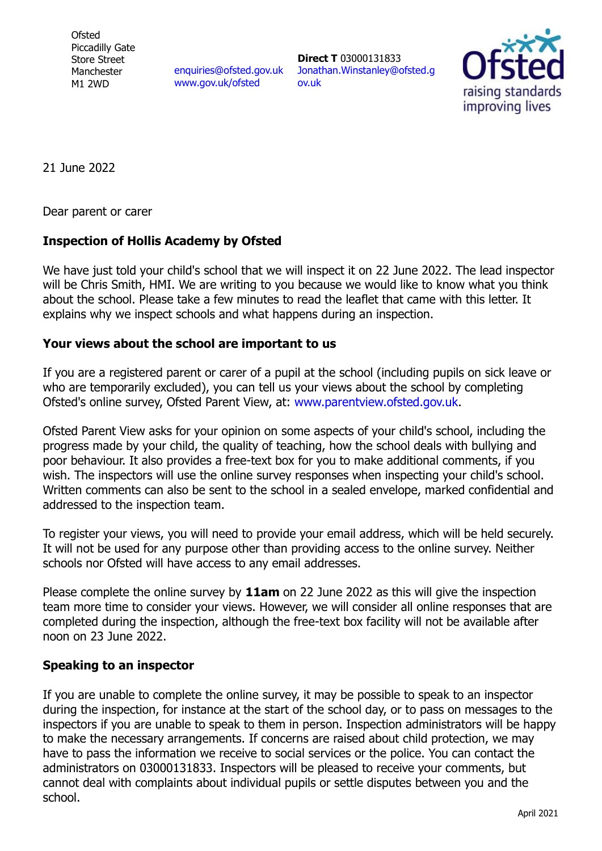**Ofsted** Piccadilly Gate Store Street Manchester M1 2WD

enquiries@ofsted.gov.uk www.gov.uk/ofsted

**Direct T** 03000131833 Jonathan.Winstanley@ofsted.g ov.uk



21 June 2022

Dear parent or carer

## **Inspection of Hollis Academy by Ofsted**

We have just told your child's school that we will inspect it on 22 June 2022. The lead inspector will be Chris Smith, HMI. We are writing to you because we would like to know what you think about the school. Please take a few minutes to read the leaflet that came with this letter. It explains why we inspect schools and what happens during an inspection.

## **Your views about the school are important to us**

If you are a registered parent or carer of a pupil at the school (including pupils on sick leave or who are temporarily excluded), you can tell us your views about the school by completing Ofsted's online survey, Ofsted Parent View, at: www.parentview.ofsted.gov.uk.

Ofsted Parent View asks for your opinion on some aspects of your child's school, including the progress made by your child, the quality of teaching, how the school deals with bullying and poor behaviour. It also provides a free-text box for you to make additional comments, if you wish. The inspectors will use the online survey responses when inspecting your child's school. Written comments can also be sent to the school in a sealed envelope, marked confidential and addressed to the inspection team.

To register your views, you will need to provide your email address, which will be held securely. It will not be used for any purpose other than providing access to the online survey. Neither schools nor Ofsted will have access to any email addresses.

Please complete the online survey by **11am** on 22 June 2022 as this will give the inspection team more time to consider your views. However, we will consider all online responses that are completed during the inspection, although the free-text box facility will not be available after noon on 23 June 2022.

## **Speaking to an inspector**

If you are unable to complete the online survey, it may be possible to speak to an inspector during the inspection, for instance at the start of the school day, or to pass on messages to the inspectors if you are unable to speak to them in person. Inspection administrators will be happy to make the necessary arrangements. If concerns are raised about child protection, we may have to pass the information we receive to social services or the police. You can contact the administrators on 03000131833. Inspectors will be pleased to receive your comments, but cannot deal with complaints about individual pupils or settle disputes between you and the school.